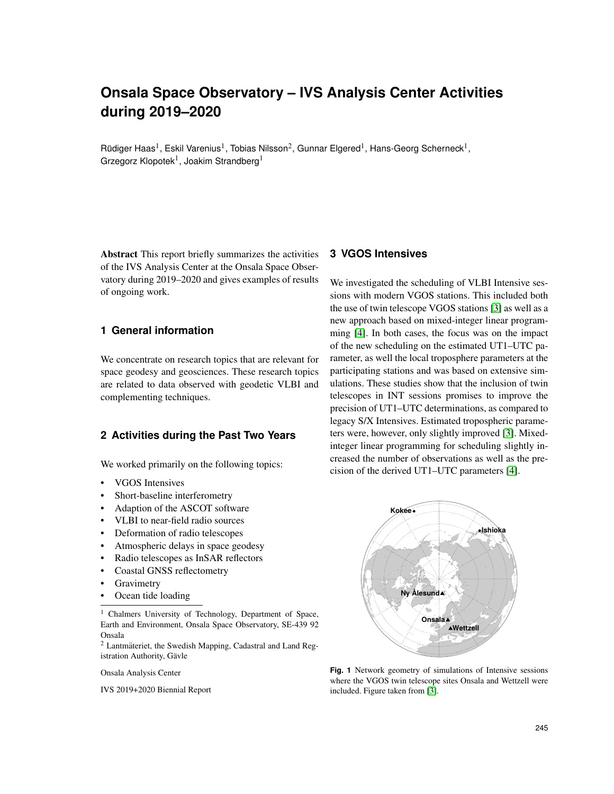# **Onsala Space Observatory – IVS Analysis Center Activities during 2019–2020**

Rüdiger Haas<sup>1</sup>, Eskil Varenius<sup>1</sup>, Tobias Nilsson<sup>2</sup>, Gunnar Elgered<sup>1</sup>, Hans-Georg Scherneck<sup>1</sup>, Grzegorz Klopotek<sup>1</sup>, Joakim Strandberg<sup>1</sup>

Abstract This report briefly summarizes the activities of the IVS Analysis Center at the Onsala Space Observatory during 2019–2020 and gives examples of results of ongoing work.

# **1 General information**

We concentrate on research topics that are relevant for space geodesy and geosciences. These research topics are related to data observed with geodetic VLBI and complementing techniques.

# **2 Activities during the Past Two Years**

We worked primarily on the following topics:

- VGOS Intensives
- Short-baseline interferometry
- Adaption of the ASCOT software
- VLBI to near-field radio sources
- Deformation of radio telescopes
- Atmospheric delays in space geodesy
- Radio telescopes as InSAR reflectors
- Coastal GNSS reflectometry
- **Gravimetry**
- Ocean tide loading

<sup>1</sup> Chalmers University of Technology, Department of Space, Earth and Environment, Onsala Space Observatory, SE-439 92 Onsala

 $2$  Lantmäteriet, the Swedish Mapping, Cadastral and Land Registration Authority, Gävle

Onsala Analysis Center

IVS 2019+2020 Biennial Report

# **3 VGOS Intensives**

We investigated the scheduling of VLBI Intensive sessions with modern VGOS stations. This included both the use of twin telescope VGOS stations [\[3\]](#page-3-0) as well as a new approach based on mixed-integer linear programming [\[4\]](#page-3-1). In both cases, the focus was on the impact of the new scheduling on the estimated UT1–UTC parameter, as well the local troposphere parameters at the participating stations and was based on extensive simulations. These studies show that the inclusion of twin telescopes in INT sessions promises to improve the precision of UT1–UTC determinations, as compared to legacy S/X Intensives. Estimated tropospheric parameters were, however, only slightly improved [\[3\]](#page-3-0). Mixedinteger linear programming for scheduling slightly increased the number of observations as well as the precision of the derived UT1–UTC parameters [\[4\]](#page-3-1).



**Fig. 1** Network geometry of simulations of Intensive sessions where the VGOS twin telescope sites Onsala and Wettzell were included. Figure taken from [\[3\]](#page-3-0).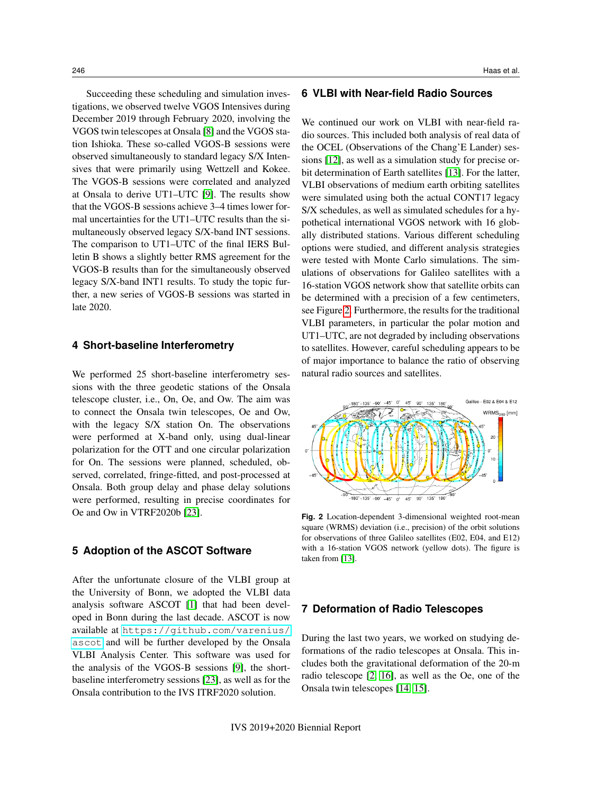Succeeding these scheduling and simulation investigations, we observed twelve VGOS Intensives during December 2019 through February 2020, involving the VGOS twin telescopes at Onsala [\[8\]](#page-3-2) and the VGOS station Ishioka. These so-called VGOS-B sessions were observed simultaneously to standard legacy S/X Intensives that were primarily using Wettzell and Kokee. The VGOS-B sessions were correlated and analyzed at Onsala to derive UT1–UTC [\[9\]](#page-3-3). The results show that the VGOS-B sessions achieve 3–4 times lower formal uncertainties for the UT1–UTC results than the simultaneously observed legacy S/X-band INT sessions. The comparison to UT1–UTC of the final IERS Bulletin B shows a slightly better RMS agreement for the VGOS-B results than for the simultaneously observed legacy S/X-band INT1 results. To study the topic further, a new series of VGOS-B sessions was started in late 2020.

#### **4 Short-baseline Interferometry**

We performed 25 short-baseline interferometry sessions with the three geodetic stations of the Onsala telescope cluster, i.e., On, Oe, and Ow. The aim was to connect the Onsala twin telescopes, Oe and Ow, with the legacy S/X station On. The observations were performed at X-band only, using dual-linear polarization for the OTT and one circular polarization for On. The sessions were planned, scheduled, observed, correlated, fringe-fitted, and post-processed at Onsala. Both group delay and phase delay solutions were performed, resulting in precise coordinates for Oe and Ow in VTRF2020b [\[23\]](#page-4-0).

#### **5 Adoption of the ASCOT Software**

After the unfortunate closure of the VLBI group at the University of Bonn, we adopted the VLBI data analysis software ASCOT [\[1\]](#page-3-4) that had been developed in Bonn during the last decade. ASCOT is now available at [https://github.com/varenius/](https://github.com/varenius/ascot) [ascot](https://github.com/varenius/ascot) and will be further developed by the Onsala VLBI Analysis Center. This software was used for the analysis of the VGOS-B sessions [\[9\]](#page-3-3), the shortbaseline interferometry sessions [\[23\]](#page-4-0), as well as for the Onsala contribution to the IVS ITRF2020 solution.

# **6 VLBI with Near-field Radio Sources**

We continued our work on VLBI with near-field radio sources. This included both analysis of real data of the OCEL (Observations of the Chang'E Lander) sessions [\[12\]](#page-3-5), as well as a simulation study for precise orbit determination of Earth satellites [\[13\]](#page-3-6). For the latter, VLBI observations of medium earth orbiting satellites were simulated using both the actual CONT17 legacy S/X schedules, as well as simulated schedules for a hypothetical international VGOS network with 16 globally distributed stations. Various different scheduling options were studied, and different analysis strategies were tested with Monte Carlo simulations. The simulations of observations for Galileo satellites with a 16-station VGOS network show that satellite orbits can be determined with a precision of a few centimeters, see Figure [2.](#page-1-0) Furthermore, the results for the traditional VLBI parameters, in particular the polar motion and UT1–UTC, are not degraded by including observations to satellites. However, careful scheduling appears to be of major importance to balance the ratio of observing natural radio sources and satellites.



<span id="page-1-0"></span>**Fig. 2** Location-dependent 3-dimensional weighted root-mean square (WRMS) deviation (i.e., precision) of the orbit solutions for observations of three Galileo satellites (E02, E04, and E12) with a 16-station VGOS network (yellow dots). The figure is taken from [\[13\]](#page-3-6).

## **7 Deformation of Radio Telescopes**

During the last two years, we worked on studying deformations of the radio telescopes at Onsala. This includes both the gravitational deformation of the 20-m radio telescope [\[2,](#page-3-7) [16\]](#page-4-1), as well as the Oe, one of the Onsala twin telescopes [\[14,](#page-3-8) [15\]](#page-3-9).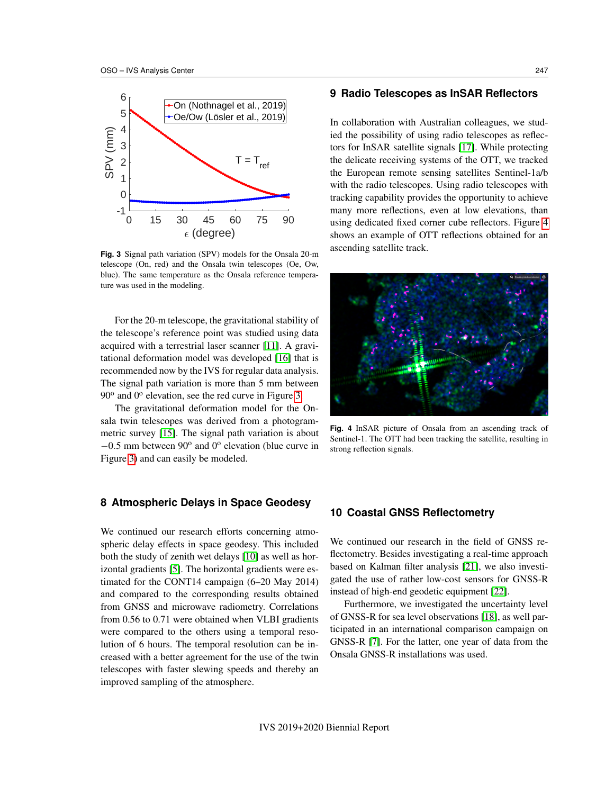

<span id="page-2-0"></span>**Fig. 3** Signal path variation (SPV) models for the Onsala 20-m telescope (On, red) and the Onsala twin telescopes (Oe, Ow, blue). The same temperature as the Onsala reference temperature was used in the modeling.

For the 20-m telescope, the gravitational stability of the telescope's reference point was studied using data acquired with a terrestrial laser scanner [\[11\]](#page-3-10). A gravitational deformation model was developed [\[16\]](#page-4-1) that is recommended now by the IVS for regular data analysis. The signal path variation is more than 5 mm between 90° and 0° elevation, see the red curve in Figure [3.](#page-2-0)

The gravitational deformation model for the Onsala twin telescopes was derived from a photogrammetric survey [\[15\]](#page-3-9). The signal path variation is about  $-0.5$  mm between  $90^{\circ}$  and  $0^{\circ}$  elevation (blue curve in Figure [3\)](#page-2-0) and can easily be modeled.

#### **8 Atmospheric Delays in Space Geodesy**

We continued our research efforts concerning atmospheric delay effects in space geodesy. This included both the study of zenith wet delays [\[10\]](#page-3-11) as well as horizontal gradients [\[5\]](#page-3-12). The horizontal gradients were estimated for the CONT14 campaign (6–20 May 2014) and compared to the corresponding results obtained from GNSS and microwave radiometry. Correlations from 0.56 to 0.71 were obtained when VLBI gradients were compared to the others using a temporal resolution of 6 hours. The temporal resolution can be increased with a better agreement for the use of the twin telescopes with faster slewing speeds and thereby an improved sampling of the atmosphere.

#### **9 Radio Telescopes as InSAR Reflectors**

In collaboration with Australian colleagues, we studied the possibility of using radio telescopes as reflectors for InSAR satellite signals [\[17\]](#page-4-2). While protecting the delicate receiving systems of the OTT, we tracked the European remote sensing satellites Sentinel-1a/b with the radio telescopes. Using radio telescopes with tracking capability provides the opportunity to achieve many more reflections, even at low elevations, than using dedicated fixed corner cube reflectors. Figure [4](#page-2-1) shows an example of OTT reflections obtained for an ascending satellite track.



**Fig. 4** InSAR picture of Onsala from an ascending track of Sentinel-1. The OTT had been tracking the satellite, resulting in strong reflection signals.

## <span id="page-2-1"></span>**10 Coastal GNSS Reflectometry**

We continued our research in the field of GNSS reflectometry. Besides investigating a real-time approach based on Kalman filter analysis [\[21\]](#page-4-3), we also investigated the use of rather low-cost sensors for GNSS-R instead of high-end geodetic equipment [\[22\]](#page-4-4).

Furthermore, we investigated the uncertainty level of GNSS-R for sea level observations [\[18\]](#page-4-5), as well participated in an international comparison campaign on GNSS-R [\[7\]](#page-3-13). For the latter, one year of data from the Onsala GNSS-R installations was used.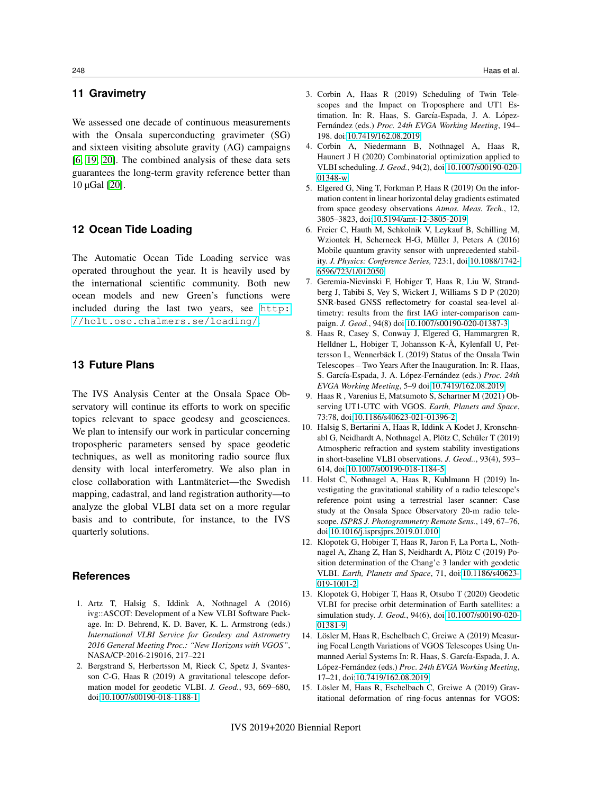# **11 Gravimetry**

We assessed one decade of continuous measurements with the Onsala superconducting gravimeter (SG) and sixteen visiting absolute gravity (AG) campaigns [\[6,](#page-3-14) [19,](#page-4-6) [20\]](#page-4-7). The combined analysis of these data sets guarantees the long-term gravity reference better than 10 µGal [\[20\]](#page-4-7).

#### **12 Ocean Tide Loading**

The Automatic Ocean Tide Loading service was operated throughout the year. It is heavily used by the international scientific community. Both new ocean models and new Green's functions were included during the last two years, see [http:](http://holt.oso.chalmers.se/loading/) [//holt.oso.chalmers.se/loading/](http://holt.oso.chalmers.se/loading/).

# **13 Future Plans**

The IVS Analysis Center at the Onsala Space Observatory will continue its efforts to work on specific topics relevant to space geodesy and geosciences. We plan to intensify our work in particular concerning tropospheric parameters sensed by space geodetic techniques, as well as monitoring radio source flux density with local interferometry. We also plan in close collaboration with Lantmäteriet—the Swedish mapping, cadastral, and land registration authority—to analyze the global VLBI data set on a more regular basis and to contribute, for instance, to the IVS quarterly solutions.

#### **References**

- <span id="page-3-4"></span>1. Artz T, Halsig S, Iddink A, Nothnagel A (2016) ivg::ASCOT: Development of a New VLBI Software Package. In: D. Behrend, K. D. Baver, K. L. Armstrong (eds.) *International VLBI Service for Geodesy and Astrometry 2016 General Meeting Proc.: "New Horizons with VGOS"*, NASA/CP-2016-219016, 217–221
- <span id="page-3-7"></span>2. Bergstrand S, Herbertsson M, Rieck C, Spetz J, Svantesson C-G, Haas R (2019) A gravitational telescope deformation model for geodetic VLBI. *J. Geod.*, 93, 669–680, doi[:10.1007/s00190-018-1188-1](https://doi.org/10.1007/s00190-018-1188-1)
- <span id="page-3-0"></span>3. Corbin A, Haas R (2019) Scheduling of Twin Telescopes and the Impact on Troposphere and UT1 Estimation. In: R. Haas, S. García-Espada, J. A. López-Fernández (eds.) Proc. 24th EVGA Working Meeting, 194-198. doi[:10.7419/162.08.2019](https://doi.org/10.7419/162.08.2019)
- <span id="page-3-1"></span>4. Corbin A, Niedermann B, Nothnagel A, Haas R, Haunert J H (2020) Combinatorial optimization applied to VLBI scheduling. *J. Geod.*, 94(2), doi[:10.1007/s00190-020-](https://doi.org/10.1007/s00190-020-01348-w) [01348-w](https://doi.org/10.1007/s00190-020-01348-w)
- <span id="page-3-12"></span>5. Elgered G, Ning T, Forkman P, Haas R (2019) On the information content in linear horizontal delay gradients estimated from space geodesy observations *Atmos. Meas. Tech.*, 12, 3805–3823, doi[:10.5194/amt-12-3805-2019](https://doi.org/10.5194/amt-12-3805-2019)
- <span id="page-3-14"></span>6. Freier C, Hauth M, Schkolnik V, Leykauf B, Schilling M, Wziontek H, Scherneck H-G, Müller J, Peters A (2016) Mobile quantum gravity sensor with unprecedented stability. *J. Physics: Conference Series,* 723:1, doi[:10.1088/1742-](https://doi.org/10.1088/1742-6596/723/1/012050) [6596/723/1/012050](https://doi.org/10.1088/1742-6596/723/1/012050)
- <span id="page-3-13"></span>7. Geremia-Nievinski F, Hobiger T, Haas R, Liu W, Strandberg J, Tabibi S, Vey S, Wickert J, Williams S D P (2020) SNR-based GNSS reflectometry for coastal sea-level altimetry: results from the first IAG inter-comparison campaign. *J. Geod.*, 94(8) doi[:10.1007/s00190-020-01387-3](https://doi.org/10.1007/s00190-020-01387-3)
- <span id="page-3-2"></span>8. Haas R, Casey S, Conway J, Elgered G, Hammargren R, Helldner L, Hobiger T, Johansson K-Å, Kylenfall U, Pettersson L, Wennerbäck L (2019) Status of the Onsala Twin Telescopes – Two Years After the Inauguration. In: R. Haas, S. García-Espada, J. A. López-Fernández (eds.) Proc. 24th *EVGA Working Meeting*, 5–9 doi[:10.7419/162.08.2019](https://doi.org/10.7419/162.08.2019)
- <span id="page-3-3"></span>9. Haas R , Varenius E, Matsumoto S, Schartner M (2021) Observing UT1-UTC with VGOS. *Earth, Planets and Space*, 73:78, doi[:10.1186/s40623-021-01396-2](https://doi.org/10.1186/s40623-021-01396-2)
- <span id="page-3-11"></span>10. Halsig S, Bertarini A, Haas R, Iddink A Kodet J, Kronschnabl G, Neidhardt A, Nothnagel A, Plötz C, Schüler T (2019) Atmospheric refraction and system stability investigations in short-baseline VLBI observations. *J. Geod..*, 93(4), 593– 614, doi[:10.1007/s00190-018-1184-5](https://doi.org/10.1007/s00190-018-1184-5)
- <span id="page-3-10"></span>11. Holst C, Nothnagel A, Haas R, Kuhlmann H (2019) Investigating the gravitational stability of a radio telescope's reference point using a terrestrial laser scanner: Case study at the Onsala Space Observatory 20-m radio telescope. *ISPRS J. Photogrammetry Remote Sens.*, 149, 67–76, doi[:10.1016/j.isprsjprs.2019.01.010](https://doi.org/10.1016/j.isprsjprs.2019.01.010)
- <span id="page-3-5"></span>12. Klopotek G, Hobiger T, Haas R, Jaron F, La Porta L, Nothnagel A, Zhang Z, Han S, Neidhardt A, Plötz C (2019) Position determination of the Chang'e 3 lander with geodetic VLBI. *Earth, Planets and Space*, 71, doi[:10.1186/s40623-](https://doi.org/10.1186/s40623-019-1001-2) [019-1001-2](https://doi.org/10.1186/s40623-019-1001-2)
- <span id="page-3-6"></span>13. Klopotek G, Hobiger T, Haas R, Otsubo T (2020) Geodetic VLBI for precise orbit determination of Earth satellites: a simulation study. *J. Geod.*, 94(6), doi[:10.1007/s00190-020-](https://doi.org/10.1007/s00190-020-01381-9) [01381-9](https://doi.org/10.1007/s00190-020-01381-9)
- <span id="page-3-8"></span>14. Lösler M, Haas R, Eschelbach C, Greiwe A (2019) Measuring Focal Length Variations of VGOS Telescopes Using Unmanned Aerial Systems In: R. Haas, S. García-Espada, J. A. López-Fernández (eds.) Proc. 24th EVGA Working Meeting, 17–21, doi[:10.7419/162.08.2019](https://doi.org/10.7419/162.08.2019)
- <span id="page-3-9"></span>15. Lösler M, Haas R, Eschelbach C, Greiwe A (2019) Gravitational deformation of ring-focus antennas for VGOS: